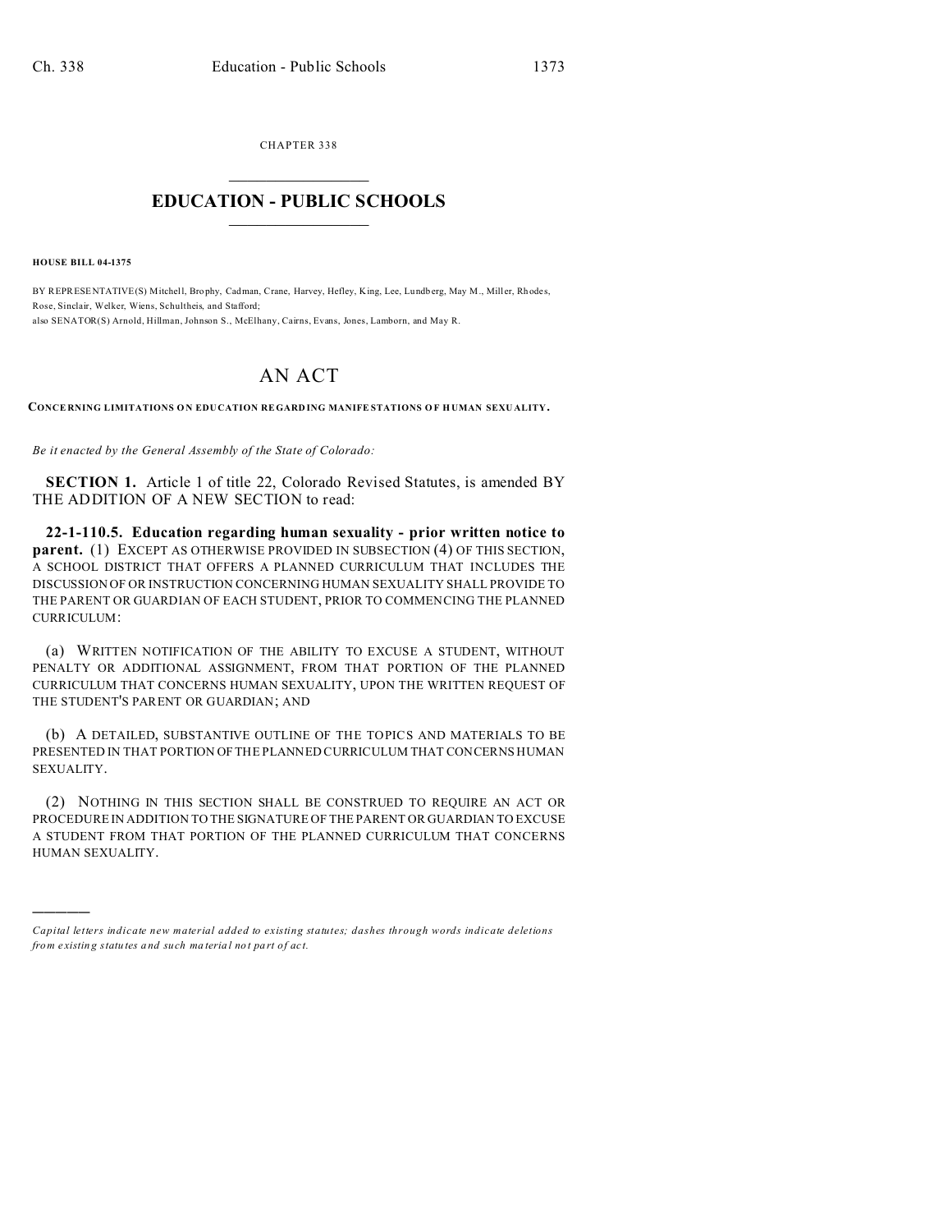CHAPTER 338  $\overline{\phantom{a}}$  , where  $\overline{\phantom{a}}$ 

## **EDUCATION - PUBLIC SCHOOLS**  $\_$   $\_$   $\_$   $\_$   $\_$   $\_$   $\_$   $\_$   $\_$

**HOUSE BILL 04-1375**

)))))

BY REPRESENTATIVE(S) Mitchell, Brophy, Cadman, Crane, Harvey, Hefley, King, Lee, Lundb erg, May M., Miller, Rhodes, Rose, Sinclair, Welker, Wiens, Schultheis, and Stafford; also SENATOR(S) Arnold, Hillman, Johnson S., McElhany, Cairns, Evans, Jones, Lamborn, and May R.

## AN ACT

**CONCE RNING LIMITATIONS O N EDU CATION REGARD ING MANIFE STATIONS O F HUMAN SEXU ALITY.**

*Be it enacted by the General Assembly of the State of Colorado:*

**SECTION 1.** Article 1 of title 22, Colorado Revised Statutes, is amended BY THE ADDITION OF A NEW SECTION to read:

**22-1-110.5. Education regarding human sexuality - prior written notice to parent.** (1) EXCEPT AS OTHERWISE PROVIDED IN SUBSECTION (4) OF THIS SECTION, A SCHOOL DISTRICT THAT OFFERS A PLANNED CURRICULUM THAT INCLUDES THE DISCUSSION OF OR INSTRUCTION CONCERNING HUMAN SEXUALITY SHALL PROVIDE TO THE PARENT OR GUARDIAN OF EACH STUDENT, PRIOR TO COMMENCING THE PLANNED CURRICULUM:

(a) WRITTEN NOTIFICATION OF THE ABILITY TO EXCUSE A STUDENT, WITHOUT PENALTY OR ADDITIONAL ASSIGNMENT, FROM THAT PORTION OF THE PLANNED CURRICULUM THAT CONCERNS HUMAN SEXUALITY, UPON THE WRITTEN REQUEST OF THE STUDENT'S PARENT OR GUARDIAN; AND

(b) A DETAILED, SUBSTANTIVE OUTLINE OF THE TOPICS AND MATERIALS TO BE PRESENTED IN THAT PORTION OF THE PLANNED CURRICULUM THAT CONCERNS HUMAN SEXUALITY.

(2) NOTHING IN THIS SECTION SHALL BE CONSTRUED TO REQUIRE AN ACT OR PROCEDURE IN ADDITION TO THE SIGNATURE OF THE PARENT OR GUARDIAN TO EXCUSE A STUDENT FROM THAT PORTION OF THE PLANNED CURRICULUM THAT CONCERNS HUMAN SEXUALITY.

*Capital letters indicate new material added to existing statutes; dashes through words indicate deletions from e xistin g statu tes a nd such ma teria l no t pa rt of ac t.*